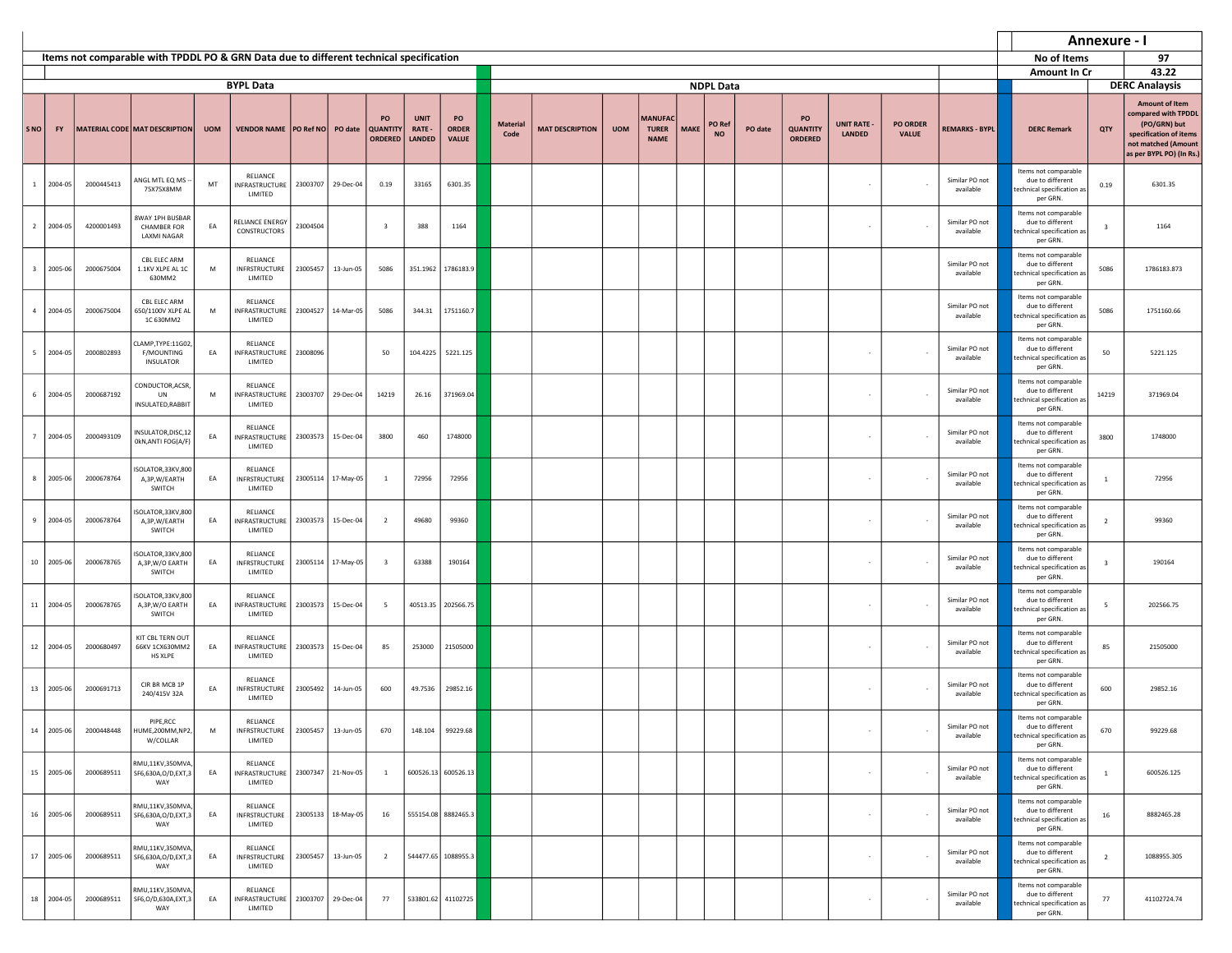|                         |            |            |                                                                                        |            |                                                          |          |                    |                                         |                                        |                                    |                         |                        |            |                                               |             |                     |         |                                         |                                     |                                 |                             | Annexure - I                                                                       |                         |                                                                                                                                           |
|-------------------------|------------|------------|----------------------------------------------------------------------------------------|------------|----------------------------------------------------------|----------|--------------------|-----------------------------------------|----------------------------------------|------------------------------------|-------------------------|------------------------|------------|-----------------------------------------------|-------------|---------------------|---------|-----------------------------------------|-------------------------------------|---------------------------------|-----------------------------|------------------------------------------------------------------------------------|-------------------------|-------------------------------------------------------------------------------------------------------------------------------------------|
|                         |            |            | Items not comparable with TPDDL PO & GRN Data due to different technical specification |            |                                                          |          |                    |                                         |                                        |                                    |                         |                        |            |                                               |             |                     |         |                                         |                                     |                                 |                             | No of Items                                                                        |                         | 97                                                                                                                                        |
|                         |            |            |                                                                                        |            |                                                          |          |                    |                                         |                                        |                                    |                         |                        |            |                                               |             |                     |         |                                         |                                     |                                 |                             | <b>Amount In Cr</b>                                                                |                         | 43.22                                                                                                                                     |
|                         |            |            |                                                                                        |            | <b>BYPL Data</b>                                         |          |                    |                                         |                                        |                                    |                         |                        |            |                                               |             | <b>NDPL Data</b>    |         |                                         |                                     |                                 |                             |                                                                                    |                         | <b>DERC Analaysis</b>                                                                                                                     |
| <b>SNO</b>              | <b>FY</b>  |            | MATERIAL CODE MAT DESCRIPTION                                                          | <b>UOM</b> | VENDOR NAME   PO Ref NO   PO date                        |          |                    | PO<br><b>QUANTITY</b><br><b>ORDERED</b> | <b>UNIT</b><br>RATE -<br><b>LANDED</b> | PO<br><b>ORDER</b><br><b>VALUE</b> | <b>Material</b><br>Code | <b>MAT DESCRIPTION</b> | <b>UOM</b> | <b>MANUFAC</b><br><b>TURER</b><br><b>NAME</b> | <b>MAKE</b> | PO Ref<br><b>NO</b> | PO date | PO<br><b>QUANTITY</b><br><b>ORDERED</b> | <b>UNIT RATE -</b><br><b>LANDED</b> | <b>PO ORDER</b><br><b>VALUE</b> | <b>REMARKS - BYPL</b>       | <b>DERC Remark</b>                                                                 | QTY                     | <b>Amount of Item</b><br>compared with TPDDL<br>(PO/GRN) but<br>specification of items<br>not matched (Amount<br>as per BYPL PO) (In Rs.) |
|                         | 1 2004-05  | 2000445413 | ANGL MTL EQ MS -<br>75X75X8MM                                                          | MT         | RELIANCE<br>INFRASTRUCTURE<br>LIMITED                    | 23003707 | 29-Dec-04          | 0.19                                    | 33165                                  | 6301.35                            |                         |                        |            |                                               |             |                     |         |                                         | $\overline{\phantom{a}}$            |                                 | Similar PO not<br>available | Items not comparable<br>due to different<br>technical specification as<br>per GRN. | 0.19                    | 6301.35                                                                                                                                   |
|                         | 2 2004-05  | 4200001493 | 8WAY 1PH BUSBAR<br><b>CHAMBER FOR</b><br><b>LAXMI NAGAR</b>                            | EA         | RELIANCE ENERGY<br>CONSTRUCTORS                          | 23004504 |                    | $\overline{\mathbf{3}}$                 | 388                                    | 1164                               |                         |                        |            |                                               |             |                     |         |                                         | $\sim$                              |                                 | Similar PO not<br>available | Items not comparable<br>due to different<br>technical specification as<br>per GRN. | $\overline{\mathbf{3}}$ | 1164                                                                                                                                      |
| $\overline{\mathbf{3}}$ | 2005-06    | 2000675004 | CBL ELEC ARM<br>1.1KV XLPE AL 1C<br>630MM2                                             | M          | RELIANCE<br>INFRSTRUCTURE<br>LIMITED                     | 23005457 | 13-Jun-05          | 5086                                    |                                        | 351.1962 1786183.9                 |                         |                        |            |                                               |             |                     |         |                                         |                                     |                                 | Similar PO not<br>available | Items not comparable<br>due to different<br>echnical specification as<br>per GRN.  | 5086                    | 1786183.873                                                                                                                               |
| $\overline{4}$          | 2004-05    | 2000675004 | CBL ELEC ARM<br>650/1100V XLPE A<br>1C 630MM2                                          | M          | RELIANCE<br>INFRASTRUCTURE<br>LIMITED                    | 23004527 | 14-Mar-05          | 5086                                    | 344.31                                 | 1751160.7                          |                         |                        |            |                                               |             |                     |         |                                         |                                     |                                 | Similar PO not<br>available | Items not comparable<br>due to different<br>echnical specification as<br>per GRN.  | 5086                    | 1751160.66                                                                                                                                |
|                         | 5 2004-05  | 2000802893 | LAMP, TYPE: 11G02,<br>F/MOUNTING<br>INSULATOR                                          | EA         | RELIANCE<br>INFRASTRUCTURE<br>LIMITED                    | 23008096 |                    | 50                                      | 104.4225                               | 5221.125                           |                         |                        |            |                                               |             |                     |         |                                         | $\overline{\phantom{a}}$            |                                 | Similar PO not<br>available | Items not comparable<br>due to different<br>technical specification as<br>per GRN. | 50                      | 5221.125                                                                                                                                  |
| $6-1$                   | 2004-05    | 2000687192 | CONDUCTOR, ACSR<br>UN<br>INSULATED, RABBIT                                             | M          | RELIANCE<br><b>INFRASTRUCTURE</b><br>LIMITED             | 23003707 | 29-Dec-04          | 14219                                   | 26.16                                  | 371969.04                          |                         |                        |            |                                               |             |                     |         |                                         | $\sim$                              |                                 | Similar PO not<br>available | Items not comparable<br>due to different<br>technical specification as<br>per GRN. | 14219                   | 371969.04                                                                                                                                 |
| $\overline{7}$          | 2004-05    | 2000493109 | INSULATOR, DISC, 12<br>0kN, ANTI FOG(A/F)                                              | EA         | RELIANCE<br><b>INFRASTRUCTURE</b><br>LIMITED             | 23003573 | 15-Dec-04          | 3800                                    | 460                                    | 1748000                            |                         |                        |            |                                               |             |                     |         |                                         | $\overline{\phantom{a}}$            |                                 | Similar PO not<br>available | Items not comparable<br>due to different<br>echnical specification as<br>per GRN.  | 3800                    | 1748000                                                                                                                                   |
| 8                       | 2005-06    | 2000678764 | ISOLATOR, 33KV, 800<br>A,3P,W/EARTH<br>SWITCH                                          | EA         | RELIANCE<br><b>INFRSTRUCTURE</b><br>LIMITED              | 23005114 | 17-May-05          | $\mathbf{1}$                            | 72956                                  | 72956                              |                         |                        |            |                                               |             |                     |         |                                         | $\overline{\phantom{a}}$            |                                 | Similar PO not<br>available | Items not comparable<br>due to different<br>echnical specification as<br>per GRN.  | <sup>1</sup>            | 72956                                                                                                                                     |
| 9                       | 2004-05    | 2000678764 | SOLATOR, 33KV, 800<br>A,3P,W/EARTH<br>SWITCH                                           | EA         | RELIANCE<br>INFRASTRUCTURE<br>LIMITED                    | 23003573 | 15-Dec-04          | $\overline{2}$                          | 49680                                  | 99360                              |                         |                        |            |                                               |             |                     |         |                                         | $\overline{\phantom{a}}$            |                                 | Similar PO not<br>available | Items not comparable<br>due to different<br>technical specification as<br>per GRN. | 2                       | 99360                                                                                                                                     |
|                         | 10 2005-06 | 2000678765 | ISOLATOR, 33KV, 800<br>A,3P,W/O EARTH<br>SWITCH                                        | EA         | RELIANCE<br>INFRSTRUCTURE<br>LIMITED                     | 23005114 | 17-May-05          | $\overline{\mathbf{3}}$                 | 63388                                  | 190164                             |                         |                        |            |                                               |             |                     |         |                                         | $\sim$                              |                                 | Similar PO not<br>available | Items not comparable<br>due to different<br>technical specification as<br>per GRN. | $\overline{\mathbf{3}}$ | 190164                                                                                                                                    |
|                         | 11 2004-05 | 2000678765 | ISOLATOR, 33KV, 800<br>A,3P,W/O EARTH<br>SWITCH                                        | EA         | RELIANCE<br>INFRASTRUCTURE<br>LIMITED                    | 23003573 | 15-Dec-04          | - 5                                     |                                        | 40513.35 202566.75                 |                         |                        |            |                                               |             |                     |         |                                         | $\overline{\phantom{a}}$            |                                 | Similar PO not<br>available | Items not comparable<br>due to different<br>technical specification as<br>per GRN. | - 5                     | 202566.75                                                                                                                                 |
|                         | 12 2004-05 | 2000680497 | KIT CBL TERN OUT<br>66KV 1CX630MM2<br>HS XLPE                                          | EA         | RELIANCE<br>INFRASTRUCTURE<br>LIMITED                    | 23003573 | 15-Dec-04          | 85                                      | 253000                                 | 21505000                           |                         |                        |            |                                               |             |                     |         |                                         | $\overline{\phantom{a}}$            |                                 | Similar PO not<br>available | Items not comparable<br>due to different<br>technical specification as<br>per GRN. | 85                      | 21505000                                                                                                                                  |
|                         | 13 2005-06 | 2000691713 | CIR BR MCB 1P<br>240/415V 32A                                                          | EA         | RELIANCE<br>INFRSTRUCTURE<br>LIMITED                     | 23005492 | 14-Jun-05          | 600                                     | 49.7536                                | 29852.16                           |                         |                        |            |                                               |             |                     |         |                                         | $\sim$                              |                                 | Similar PO not<br>available | Items not comparable<br>due to different<br>echnical specification as<br>per GRN.  | 600                     | 29852.16                                                                                                                                  |
|                         | 14 2005-06 | 2000448448 | PIPE,RCC<br>HUME,200MM,NP2,<br>W/COLLAR                                                | M          | RELIANCE<br>INFRSTRUCTURE 23005457 13-Jun-05<br>LIMITED  |          |                    | 670                                     |                                        | 148.104 99229.68                   |                         |                        |            |                                               |             |                     |         |                                         | $\sim$                              | $\sim$                          | Similar PO not<br>available | Items not comparable<br>due to different<br>technical specification as<br>per GRN. | 670                     | 99229.68                                                                                                                                  |
|                         | 15 2005-06 | 2000689511 | RMU,11KV,350MVA,<br>SF6,630A,O/D,EXT,3<br>WAY                                          | EA         | RELIANCE<br>INFRASTRUCTURE 23007347 21-Nov-05<br>LIMITED |          |                    | $\mathbf{1}$                            |                                        | 600526.13 600526.13                |                         |                        |            |                                               |             |                     |         |                                         | $\sim$                              |                                 | Similar PO not<br>available | Items not comparable<br>due to different<br>technical specification as<br>per GRN. | <sup>1</sup>            | 600526.125                                                                                                                                |
|                         | 16 2005-06 | 2000689511 | RMU,11KV,350MVA,<br>SF6,630A,O/D,EXT,3<br>WAY                                          | EA         | RELIANCE<br>INFRSTRUCTURE<br>LIMITED                     |          | 23005133 18-May-05 | 16                                      |                                        | 555154.08 8882465.3                |                         |                        |            |                                               |             |                     |         |                                         | $\sim$                              |                                 | Similar PO not<br>available | Items not comparable<br>due to different<br>technical specification as<br>per GRN. | 16                      | 8882465.28                                                                                                                                |
|                         | 17 2005-06 | 2000689511 | RMU,11KV,350MVA,<br>SF6,630A,O/D,EXT,3<br>WAY                                          | EA         | RELIANCE<br>INFRSTRUCTURE<br>LIMITED                     | 23005457 | 13-Jun-05          | $\overline{2}$                          |                                        | 544477.65 1088955.3                |                         |                        |            |                                               |             |                     |         |                                         | $\sim$                              |                                 | Similar PO not<br>available | Items not comparable<br>due to different<br>technical specification as<br>per GRN. | 2                       | 1088955.305                                                                                                                               |
|                         | 18 2004-05 | 2000689511 | RMU,11KV,350MVA,<br>SF6,O/D,630A,EXT,3<br>WAY                                          | EA         | RELIANCE<br>INFRASTRUCTURE<br>LIMITED                    |          | 23003707 29-Dec-04 | 77                                      |                                        | 533801.62 41102725                 |                         |                        |            |                                               |             |                     |         |                                         | $\sim$                              |                                 | Similar PO not<br>available | Items not comparable<br>due to different<br>technical specification as<br>per GRN. | 77                      | 41102724.74                                                                                                                               |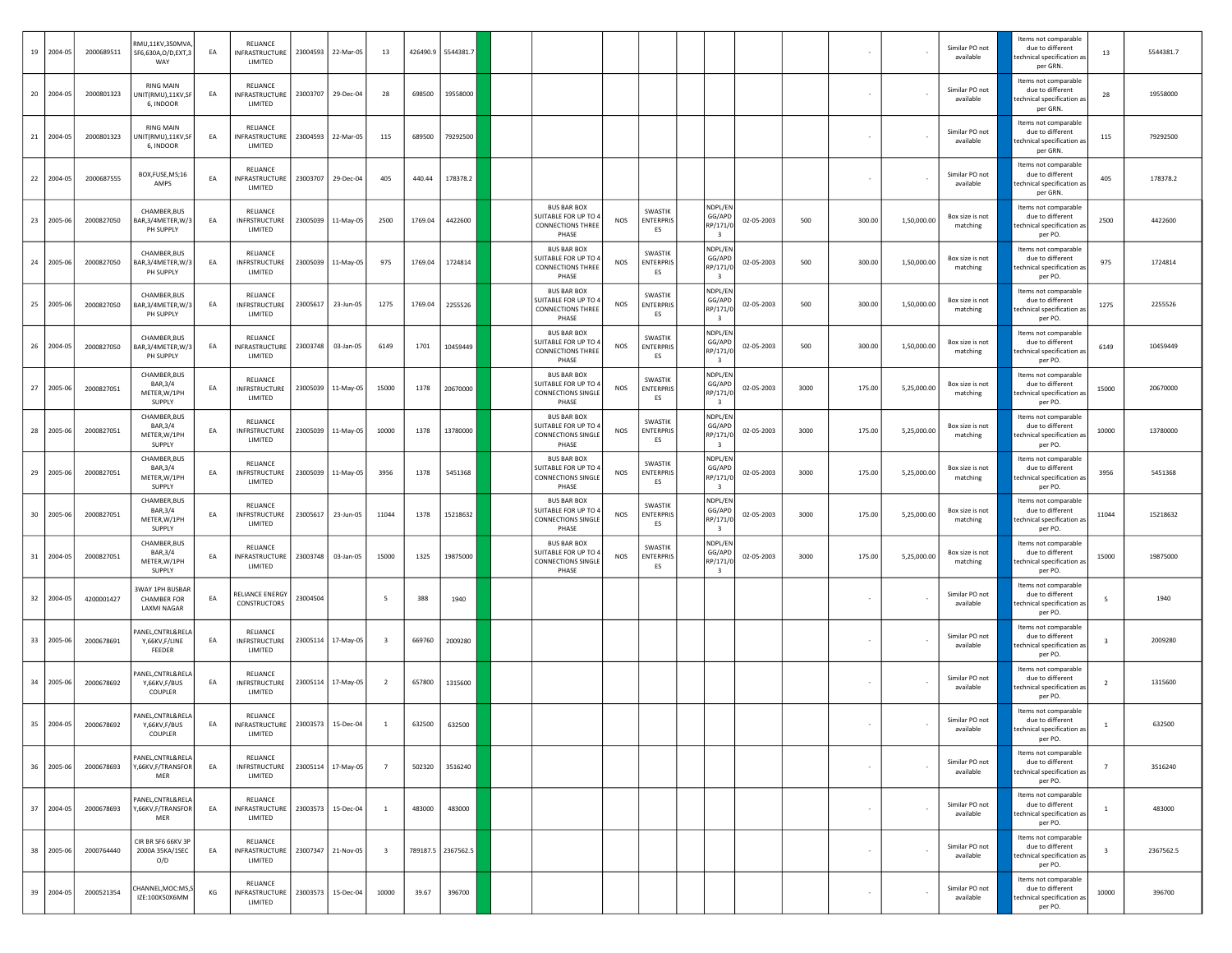|    | 19 2004-05 | 2000689511 | RMU,11KV,350MVA<br>SF6,630A,O/D,EXT,3<br>WAY        | EA | RELIANCE<br>NFRASTRUCTURE<br>LIMITED        | 23004593 | 22-Mar-05          | 13                      |         | 426490.9 5544381.7 |                                                                                      |            |                                   |                                                          |            |      |                          |             | Similar PO not<br>available | Items not comparable<br>due to different<br>echnical specification as<br>per GRN. | 13                      | 5544381.7 |
|----|------------|------------|-----------------------------------------------------|----|---------------------------------------------|----------|--------------------|-------------------------|---------|--------------------|--------------------------------------------------------------------------------------|------------|-----------------------------------|----------------------------------------------------------|------------|------|--------------------------|-------------|-----------------------------|-----------------------------------------------------------------------------------|-------------------------|-----------|
|    | 20 2004-05 | 2000801323 | <b>RING MAIN</b><br>NIT(RMU),11KV,SF<br>6, INDOOR   | EA | RELIANCE<br>NFRASTRUCTURE<br>LIMITED        | 23003707 | 29-Dec-04          | 28                      | 698500  | 19558000           |                                                                                      |            |                                   |                                                          |            |      |                          |             | Similar PO not<br>available | Items not comparable<br>due to different<br>echnical specification as<br>per GRN. | 28                      | 19558000  |
|    | 21 2004-05 | 2000801323 | <b>RING MAIN</b><br>NIT(RMU),11KV,SI<br>6, INDOOR   | EA | RELIANCE<br>NFRASTRUCTURE<br>LIMITED        |          | 23004593 22-Mar-05 | 115                     | 689500  | 79292500           |                                                                                      |            |                                   |                                                          |            |      |                          |             | Similar PO not<br>available | Items not comparable<br>due to different<br>echnical specification as<br>per GRN. | 115                     | 79292500  |
|    | 22 2004-05 | 2000687555 | BOX,FUSE,MS;16<br>AMPS                              | EA | RELIANCE<br>NFRASTRUCTURE<br>LIMITED        | 23003707 | 29-Dec-04          | 405                     | 440.44  | 178378.2           |                                                                                      |            |                                   |                                                          |            |      |                          |             | Similar PO not<br>available | Items not comparable<br>due to different<br>echnical specification as<br>per GRN  | 405                     | 178378.2  |
|    | 23 2005-06 | 2000827050 | CHAMBER, BUS<br>AR,3/4METER,W/3<br>PH SUPPLY        | EA | RELIANCE<br>INFRSTRUCTURE<br>LIMITED        | 23005039 | 11-May-05          | 2500                    | 1769.04 | 4422600            | <b>BUS BAR BOX</b><br>SUITABLE FOR UP TO<br><b>CONNECTIONS THREE</b><br>PHASE        | <b>NOS</b> | SWASTIK<br><b>ENTERPRIS</b><br>ES | NDPL/EN<br>GG/APD<br>RP/171/0<br>$\overline{\mathbf{3}}$ | 02-05-2003 | 500  | 300.00                   | 1,50,000.00 | Box size is not<br>matching | Items not comparable<br>due to different<br>echnical specification as<br>per PO.  | 2500                    | 4422600   |
|    | 24 2005-06 | 2000827050 | CHAMBER, BUS<br>AR, 3/4METER, W/3<br>PH SUPPLY      | EA | RELIANCE<br>INFRSTRUCTURE<br>LIMITED        | 23005039 | 11-May-05          | 975                     | 1769.04 | 1724814            | <b>BUS BAR BOX</b><br><b>SUITABLE FOR UP TO</b><br><b>CONNECTIONS THREE</b><br>PHASE | NOS        | SWASTIK<br>ENTERPRIS<br>ES        | NDPL/EN<br>GG/APD<br>RP/171/0<br>$\overline{\mathbf{3}}$ | 02-05-2003 | 500  | 300.00                   | 1,50,000.00 | Box size is not<br>matching | Items not comparable<br>due to different<br>echnical specification as<br>per PO.  | 975                     | 1724814   |
|    | 25 2005-06 | 2000827050 | CHAMBER, BUS<br>AR,3/4METER,W/3<br>PH SUPPLY        | EA | RELIANCE<br><b>INFRSTRUCTURE</b><br>LIMITED | 23005617 | 23-Jun-05          | 1275                    | 1769.04 | 2255526            | <b>BUS BAR BOX</b><br>SUITABLE FOR UP TO 4<br><b>CONNECTIONS THREE</b><br>PHASE      | NOS        | SWASTIK<br>ENTERPRIS<br>ES        | NDPL/EN<br>GG/APD<br>RP/171/0<br>$\overline{\mathbf{3}}$ | 02-05-2003 | 500  | 300.00                   | 1,50,000.00 | Box size is not<br>matching | Items not comparable<br>due to different<br>echnical specification as<br>per PO.  | 1275                    | 2255526   |
|    | 26 2004-05 | 2000827050 | CHAMBER, BUS<br>AR, 3/4METER, W/3<br>PH SUPPLY      | EA | RELIANCE<br>NFRASTRUCTURE<br>LIMITED        | 23003748 | 03-Jan-05          | 6149                    | 1701    | 10459449           | <b>BUS BAR BOX</b><br>SUITABLE FOR UP TO<br><b>CONNECTIONS THREE</b><br>PHASE        | NOS        | SWASTIK<br>ENTERPRIS<br>ES        | NDPL/EN<br>GG/APD<br>RP/171/0<br>$\overline{\mathbf{3}}$ | 02-05-2003 | 500  | 300.00                   | 1,50,000.00 | Box size is not<br>matching | Items not comparable<br>due to different<br>echnical specification as<br>per PO.  | 6149                    | 10459449  |
| 27 | 2005-06    | 2000827051 | CHAMBER, BUS<br>BAR, 3/4<br>METER, W/1PH<br>SUPPLY  | EA | RELIANCE<br>INFRSTRUCTURE<br>LIMITED        |          | 23005039 11-May-05 | 15000                   | 1378    | 20670000           | <b>BUS BAR BOX</b><br>SUITABLE FOR UP TO<br><b>CONNECTIONS SINGLI</b><br>PHASE       | <b>NOS</b> | SWASTIK<br>ENTERPRIS<br>ES        | NDPL/EN<br>GG/APD<br>RP/171/0<br>$\overline{\mathbf{3}}$ | 02-05-2003 | 3000 | 175.00                   | 5,25,000.00 | Box size is not<br>matching | Items not comparable<br>due to different<br>echnical specification as<br>per PO.  | 15000                   | 20670000  |
| 28 | 2005-06    | 2000827051 | CHAMBER, BUS<br>BAR, 3/4<br>METER, W/1PH<br>SUPPLY  | EA | RELIANCE<br>INFRSTRUCTURE<br>LIMITED        | 23005039 | 11-May-05          | 10000                   | 1378    | 13780000           | <b>BUS BAR BOX</b><br>SUITABLE FOR UP TO<br><b>CONNECTIONS SINGLE</b><br>PHASE       | NOS        | SWASTIK<br><b>ENTERPRIS</b><br>ES | NDPL/EN<br>GG/APD<br>RP/171/0<br>$\overline{\mathbf{3}}$ | 02-05-2003 | 3000 | 175.00                   | 5,25,000.00 | Box size is not<br>matching | Items not comparable<br>due to different<br>echnical specification as<br>per PO.  | 10000                   | 13780000  |
|    | 29 2005-06 | 2000827051 | CHAMBER, BUS<br>BAR, 3/4<br>METER, W/1PH<br>SUPPLY  | EA | RELIANCE<br><b>INFRSTRUCTURE</b><br>LIMITED | 23005039 | 11-May-05          | 3956                    | 1378    | 5451368            | <b>BUS BAR BOX</b><br>SUITABLE FOR UP TO<br><b>CONNECTIONS SINGLE</b><br>PHASE       | NOS        | SWASTIK<br>ENTERPRIS<br>ES        | NDPL/EN<br>GG/APD<br>RP/171/0<br>$\overline{\mathbf{3}}$ | 02-05-2003 | 3000 | 175.00                   | 5,25,000.00 | Box size is not<br>matching | Items not comparable<br>due to different<br>echnical specification as<br>per PO.  | 3956                    | 5451368   |
|    | 30 2005-06 | 2000827051 | CHAMBER, BUS<br>BAR, 3/4<br>METER, W/1PH<br>SUPPLY  | EA | RELIANCE<br><b>INFRSTRUCTURE</b><br>LIMITED | 23005617 | 23-Jun-05          | 11044                   | 1378    | 15218632           | <b>BUS BAR BOX</b><br>SUITABLE FOR UP TO<br><b>CONNECTIONS SINGLI</b><br>PHASE       | NOS        | SWASTIK<br>ENTERPRIS<br>ES        | NDPL/EN<br>GG/APD<br>RP/171/<br>$\overline{\mathbf{3}}$  | 02-05-2003 | 3000 | 175.00                   | 5,25,000.00 | Box size is not<br>matching | Items not comparable<br>due to different<br>echnical specification as<br>per PO.  | 11044                   | 15218632  |
| 31 | 2004-05    | 2000827051 | CHAMBER, BUS<br>BAR, 3/4<br>METER, W/1PH<br>SUPPLY  | EA | RELIANCE<br>INFRASTRUCTURE<br>LIMITED       | 23003748 | 03-Jan-05          | 15000                   | 1325    | 19875000           | <b>BUS BAR BOX</b><br>SUITABLE FOR UP TO<br><b>CONNECTIONS SINGLE</b><br>PHASE       | NOS        | SWASTIK<br>ENTERPRIS<br>ES        | NDPL/EN<br>GG/APD<br>RP/171/0<br>$\overline{\mathbf{3}}$ | 02-05-2003 | 3000 | 175.00                   | 5,25,000.00 | Box size is not<br>matching | Items not comparable<br>due to different<br>echnical specification as<br>per PO.  | 15000                   | 19875000  |
|    | 32 2004-05 | 4200001427 | WAY 1PH BUSBAR<br><b>CHAMBER FOR</b><br>LAXMI NAGAR | EA | RELIANCE ENERGY<br>CONSTRUCTORS             | 23004504 |                    | - 5                     | 388     | 1940               |                                                                                      |            |                                   |                                                          |            |      |                          |             | Similar PO not<br>available | Items not comparable<br>due to different<br>echnical specification as<br>per PO.  | 5                       | 1940      |
|    | 33 2005-06 | 2000678691 | ANEL, CNTRL&RELA<br>Y,66KV,F/LINE<br>FEEDER         | EA | RELIANCE<br><b>INFRSTRUCTURE</b><br>LIMITED | 23005114 | 17-May-05          | $\overline{\mathbf{3}}$ | 669760  | 2009280            |                                                                                      |            |                                   |                                                          |            |      |                          |             | Similar PO not<br>available | Items not comparable<br>due to different<br>echnical specification as<br>per PO.  | 3                       | 2009280   |
|    | 34 2005-06 | 2000678692 | ANEL, CNTRL&RELA<br>Y,66KV,F/BUS<br>COUPLER         | EA | RELIANCE<br>INFRSTRUCTURE<br>LIMITED        | 23005114 | 17-May-05          | $\overline{2}$          | 657800  | 1315600            |                                                                                      |            |                                   |                                                          |            |      |                          |             | Similar PO not<br>available | Items not comparable<br>due to different<br>echnical specification as<br>per PO.  | $\overline{2}$          | 1315600   |
|    | 35 2004-05 | 2000678692 | ANEL, CNTRL&RELA<br>Y,66KV,F/BUS<br>COUPLER         | EA | RELIANCE<br>INFRASTRUCTURE<br>LIMITED       | 23003573 | 15-Dec-04          | <sup>1</sup>            | 632500  | 632500             |                                                                                      |            |                                   |                                                          |            |      |                          |             | Similar PO not<br>available | Items not comparable<br>due to different<br>per PO.                               |                         | 632500    |
|    | 36 2005-06 | 2000678693 | PANEL, CNTRL&RELA<br>Y,66KV,F/TRANSFOR<br>MER       | EA | RELIANCE<br><b>INFRSTRUCTURE</b><br>LIMITED |          | 23005114 17-May-05 | $\overline{7}$          | 502320  | 3516240            |                                                                                      |            |                                   |                                                          |            |      | $\overline{\phantom{a}}$ |             | Similar PO not<br>available | Items not comparable<br>due to different<br>echnical specification as<br>per PO.  | $\overline{7}$          | 3516240   |
|    | 37 2004-05 | 2000678693 | PANEL, CNTRL&RELA<br>Y,66KV,F/TRANSFOR<br>MER       | EA | RELIANCE<br>INFRASTRUCTURE<br>LIMITED       | 23003573 | 15-Dec-04          | $\overline{1}$          | 483000  | 483000             |                                                                                      |            |                                   |                                                          |            |      | $\overline{\phantom{a}}$ |             | Similar PO not<br>available | Items not comparable<br>due to different<br>echnical specification as<br>per PO.  | $\mathbf{1}$            | 483000    |
|    | 38 2005-06 | 2000764440 | CIR BR SF6 66KV 3P<br>2000A 35KA/1SEC<br>O/D        | EA | RELIANCE<br>NFRASTRUCTURE<br>LIMITED        |          | 23007347 21-Nov-05 | $\overline{\mathbf{3}}$ |         | 789187.5 2367562.5 |                                                                                      |            |                                   |                                                          |            |      |                          |             | Similar PO not<br>available | Items not comparable<br>due to different<br>echnical specification as<br>per PO.  | $\overline{\mathbf{3}}$ | 2367562.5 |
|    | 39 2004-05 | 2000521354 | HANNEL,MOC:MS,S<br>IZE:100X50X6MM                   | КG | RELIANCE<br>INFRASTRUCTURE<br>LIMITED       | 23003573 | 15-Dec-04          | 10000                   | 39.67   | 396700             |                                                                                      |            |                                   |                                                          |            |      |                          |             | Similar PO not<br>available | Items not comparable<br>due to different<br>echnical specification as<br>per PO.  | 10000                   | 396700    |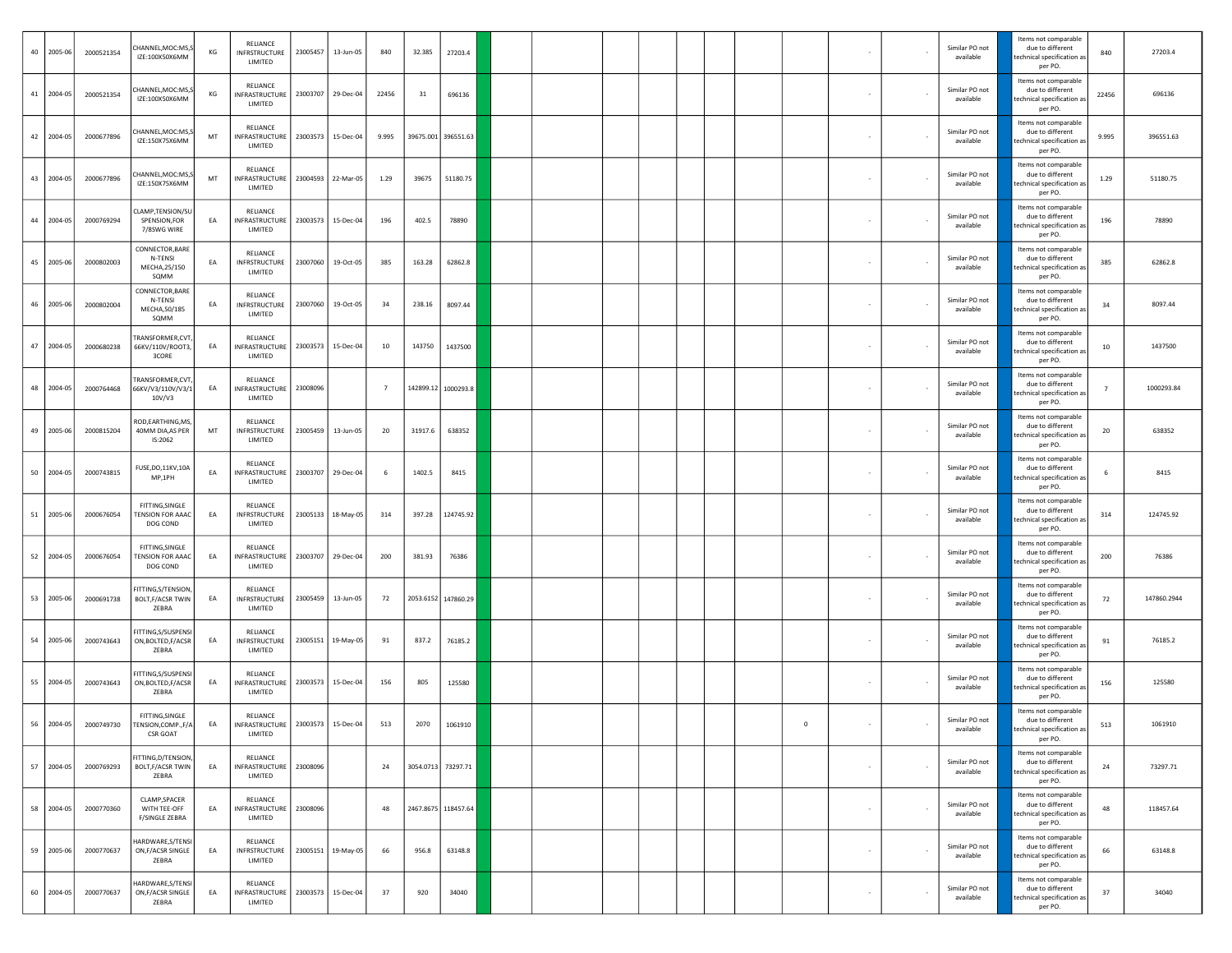| 40 2005-06 | 2000521354 | CHANNEL, MOC:MS, S<br>IZE:100X50X6MM                   | KG | RELIANCE<br>INFRSTRUCTURE<br>LIMITED                         |          | 23005457 13-Jun-05 | 840             | 32.385  | 27203.4             |  |  |  |         |                          | Similar PO not<br>available | Items not comparable<br>due to different<br>technical specification as<br>per PO. | 840            | 27203.4     |
|------------|------------|--------------------------------------------------------|----|--------------------------------------------------------------|----------|--------------------|-----------------|---------|---------------------|--|--|--|---------|--------------------------|-----------------------------|-----------------------------------------------------------------------------------|----------------|-------------|
| 41 2004-05 | 2000521354 | CHANNEL, MOC:MS, S<br>IZE:100X50X6MM                   | KG | RELIANCE<br><b>INFRASTRUCTURE</b><br>LIMITED                 |          | 23003707 29-Dec-04 | 22456           | 31      | 696136              |  |  |  |         |                          | Similar PO not<br>available | Items not comparable<br>due to different<br>technical specification as<br>per PO. | 22456          | 696136      |
| 42 2004-05 | 2000677896 | CHANNEL, MOC:MS, S<br>IZE:150X75X6MM                   | MT | RELIANCE<br>INFRASTRUCTURE<br>LIMITED                        |          | 23003573 15-Dec-04 | 9.995           |         | 39675.001 396551.63 |  |  |  |         |                          | Similar PO not<br>available | Items not comparable<br>due to different<br>echnical specification as<br>per PO.  | 9.995          | 396551.63   |
| 43 2004-05 | 2000677896 | CHANNEL, MOC:MS,S<br>IZE:150X75X6MM                    | MT | RELIANCE<br>INFRASTRUCTURE<br>LIMITED                        |          | 23004593 22-Mar-05 | 1.29            | 39675   | 51180.75            |  |  |  |         |                          | Similar PO not<br>available | Items not comparable<br>due to different<br>technical specification as<br>per PO. | 1.29           | 51180.75    |
| 44 2004-05 | 2000769294 | CLAMP,TENSION/SU<br>SPENSION, FOR<br>7/8SWG WIRE       | EA | RELIANCE<br>INFRASTRUCTURE<br>LIMITED                        |          | 23003573 15-Dec-04 | 196             | 402.5   | 78890               |  |  |  |         |                          | Similar PO not<br>available | Items not comparable<br>due to different<br>echnical specification as<br>per PO.  | 196            | 78890       |
| 45 2005-06 | 2000802003 | CONNECTOR, BARE<br>N-TENSI<br>MECHA,25/150<br>SQMM     | EA | RELIANCE<br>INFRSTRUCTURE<br>LIMITED                         | 23007060 | 19-Oct-05          | 385             | 163.28  | 62862.8             |  |  |  |         |                          | Similar PO not<br>available | Items not comparable<br>due to different<br>technical specification as<br>per PO. | 385            | 62862.8     |
| 46 2005-06 | 2000802004 | CONNECTOR, BARE<br>N-TENSI<br>MECHA, 50/185<br>SQMM    | EA | RELIANCE<br>INFRSTRUCTURE<br>LIMITED                         |          | 23007060 19-Oct-05 | 34              | 238.16  | 8097.44             |  |  |  |         |                          | Similar PO not<br>available | Items not comparable<br>due to different<br>echnical specification as<br>per PO.  | 34             | 8097.44     |
| 47 2004-05 | 2000680238 | <b>FRANSFORMER,CVT</b><br>66KV/110V/ROOT3,<br>3CORE    | EA | RELIANCE<br>INFRASTRUCTURE<br>LIMITED                        |          | 23003573 15-Dec-04 | 10              | 143750  | 1437500             |  |  |  |         |                          | Similar PO not<br>available | Items not comparable<br>due to different<br>technical specification as<br>per PO. | 10             | 1437500     |
| 48 2004-05 | 2000764468 | TRANSFORMER, CVT,<br>66KV/V3/110V/V3/1<br>10V/V3       | EA | RELIANCE<br>INFRASTRUCTURE<br>LIMITED                        | 23008096 |                    | $7\overline{ }$ |         | 142899.12 1000293.8 |  |  |  |         |                          | Similar PO not<br>available | Items not comparable<br>due to different<br>echnical specification as<br>per PO.  | $\overline{ }$ | 1000293.84  |
| 49 2005-06 | 2000815204 | ROD, EARTHING, MS,<br>40MM DIA, AS PER<br>IS:2062      | MT | RELIANCE<br>INFRSTRUCTURE<br>LIMITED                         |          | 23005459 13-Jun-05 | 20              | 31917.6 | 638352              |  |  |  |         |                          | Similar PO not<br>available | Items not comparable<br>due to different<br>echnical specification as<br>per PO.  | 20             | 638352      |
| 50 2004-05 | 2000743815 | FUSE, DO, 11KV, 10A<br>MP,1PH                          | EA | RELIANCE<br>INFRASTRUCTURE<br>LIMITED                        |          | 23003707 29-Dec-04 | 6               | 1402.5  | 8415                |  |  |  |         |                          | Similar PO not<br>available | Items not comparable<br>due to different<br>technical specification as<br>per PO. | 6              | 8415        |
| 51 2005-06 | 2000676054 | FITTING, SINGLE<br>TENSION FOR AAAC<br>DOG COND        | EA | RELIANCE<br>INFRSTRUCTURE<br>LIMITED                         |          | 23005133 18-May-05 | 314             | 397.28  | 124745.92           |  |  |  |         |                          | Similar PO not<br>available | Items not comparable<br>due to different<br>technical specification as<br>per PO. | 314            | 124745.92   |
| 52 2004-05 | 2000676054 | FITTING, SINGLE<br><b>FENSION FOR AAAC</b><br>DOG COND | EA | RELIANCE<br>INFRASTRUCTURE<br>LIMITED                        |          | 23003707 29-Dec-04 | 200             | 381.93  | 76386               |  |  |  |         |                          | Similar PO not<br>available | Items not comparable<br>due to different<br>echnical specification as<br>per PO.  | 200            | 76386       |
| 53 2005-06 | 2000691738 | FITTING, S/TENSION,<br>BOLT, F/ACSR TWIN<br>ZEBRA      | EA | RELIANCE<br>INFRSTRUCTURE<br>LIMITED                         |          | 23005459 13-Jun-05 | 72              |         | 2053.6152 147860.29 |  |  |  |         |                          | Similar PO not<br>available | Items not comparable<br>due to different<br>technical specification as<br>per PO. | 72             | 147860.2944 |
| 54 2005-06 | 2000743643 | FITTING,S/SUSPENSI<br>ON, BOLTED, F/ACSR<br>ZEBRA      | EA | RELIANCE<br>INFRSTRUCTURE<br>LIMITED                         |          | 23005151 19-May-05 | 91              | 837.2   | 76185.2             |  |  |  |         |                          | Similar PO not<br>available | Items not comparable<br>due to different<br>echnical specification as<br>per PO.  | 91             | 76185.2     |
| 55 2004-05 | 2000743643 | FITTING, S/SUSPENSI<br>ON, BOLTED, F/ACSR<br>ZEBRA     | EA | RELIANCE<br>INFRASTRUCTURE<br>LIMITED                        |          | 23003573 15-Dec-04 | 156             | 805     | 125580              |  |  |  |         |                          | Similar PO not<br>available | Items not comparable<br>due to different<br>technical specification as<br>per PO. | 156            | 125580      |
| 56 2004-05 | 2000749730 | FITTING, SINGLE<br>TENSION, COMP., F/A<br>CSR GOAT     | EA | RELIANCE<br>INFRASTRUCTURE   23003573   15-Dec-04<br>LIMITED |          |                    | 513             | 2070    | 1061910             |  |  |  | $\circ$ | $\sim$                   | Similar PO not<br>available | Items not comparable<br>due to different<br>hnical snecification a<br>per PO.     | 513            | 1061910     |
| 57 2004-05 | 2000769293 | FITTING, D/TENSION,<br>BOLT, F/ACSR TWIN<br>ZEBRA      | EA | RELIANCE<br>INFRASTRUCTURE<br>LIMITED                        | 23008096 |                    | 24              |         | 3054.0713 73297.71  |  |  |  |         | $\overline{\phantom{a}}$ | Similar PO not<br>available | Items not comparable<br>due to different<br>technical specification as<br>per PO. | 24             | 73297.71    |
| 58 2004-05 | 2000770360 | CLAMP, SPACER<br>WITH TEE-OFF<br>F/SINGLE ZEBRA        | EA | RELIANCE<br>INFRASTRUCTURE<br>LIMITED                        | 23008096 |                    | 48              |         | 2467.8675 118457.64 |  |  |  |         | $\overline{\phantom{a}}$ | Similar PO not<br>available | Items not comparable<br>due to different<br>echnical specification as<br>per PO.  | 48             | 118457.64   |
| 59 2005-06 | 2000770637 | HARDWARE, S/TENSI<br>ON, F/ACSR SINGLE<br>ZEBRA        | EA | RELIANCE<br><b>INFRSTRUCTURE</b><br>LIMITED                  |          | 23005151 19-May-05 | 66              | 956.8   | 63148.8             |  |  |  |         |                          | Similar PO not<br>available | Items not comparable<br>due to different<br>echnical specification as<br>per PO.  | 66             | 63148.8     |
| 60 2004-05 | 2000770637 | HARDWARE, S/TENSI<br>ON, F/ACSR SINGLE<br>ZEBRA        | EA | RELIANCE<br>INFRASTRUCTURE<br>LIMITED                        |          | 23003573 15-Dec-04 | 37              | 920     | 34040               |  |  |  |         |                          | Similar PO not<br>available | Items not comparable<br>due to different<br>echnical specification as<br>per PO.  | 37             | 34040       |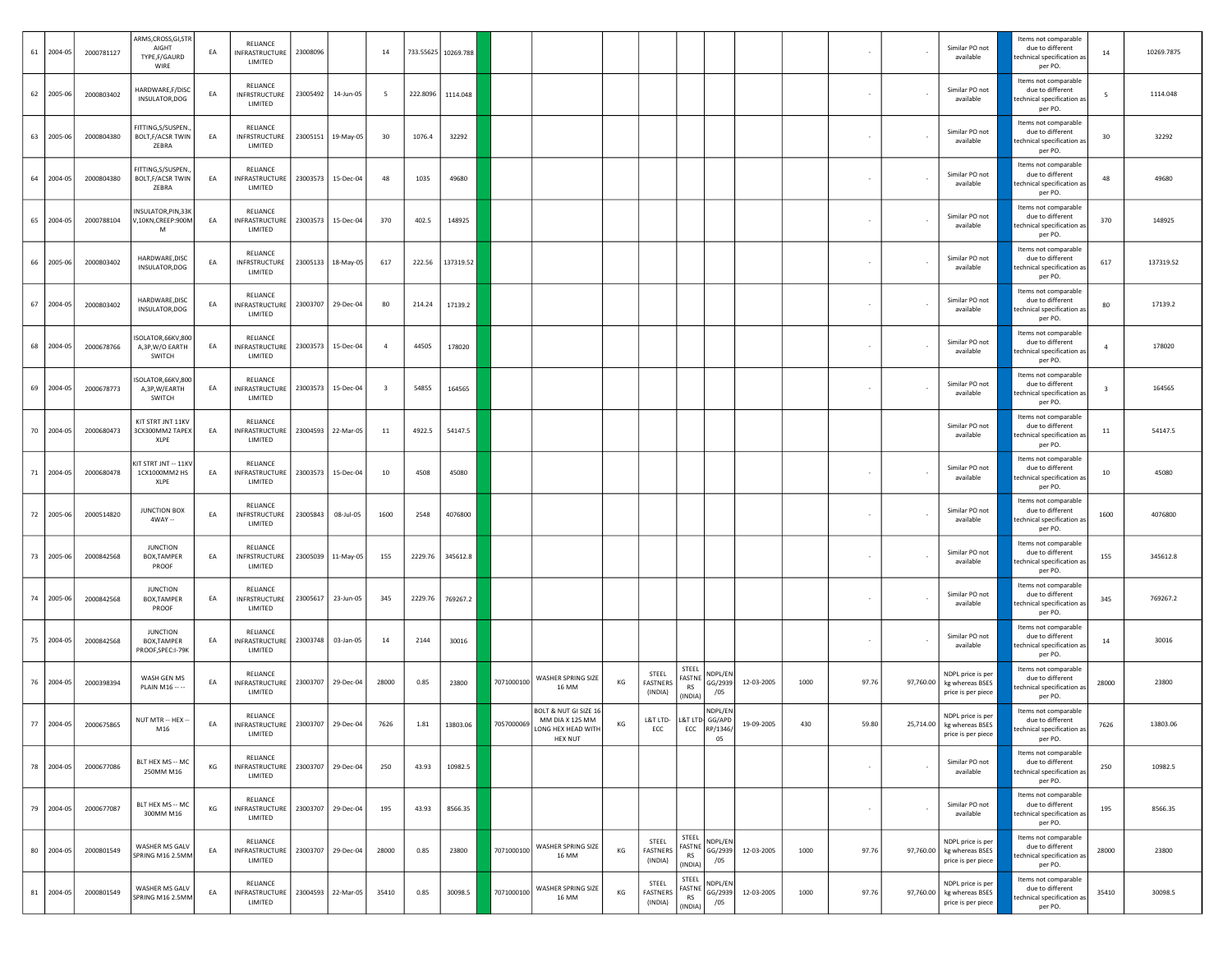| 61 2004-05 | 2000781127 | ARMS, CROSS, GI, STR<br>AIGHT<br>TYPE,F/GAURD<br>WIRE  | EA | RELIANCE<br>INFRASTRUCTURE<br>LIMITED       | 23008096 |                      | 14                      |          | 733.55625 10269.788 |            |                                                                                  |    |                                 |                                         |                           |            |      |       |           | Similar PO not<br>available                                          | Items not comparable<br>due to different<br>echnical specification as<br>per PO.  | 14             | 10269.7875 |
|------------|------------|--------------------------------------------------------|----|---------------------------------------------|----------|----------------------|-------------------------|----------|---------------------|------------|----------------------------------------------------------------------------------|----|---------------------------------|-----------------------------------------|---------------------------|------------|------|-------|-----------|----------------------------------------------------------------------|-----------------------------------------------------------------------------------|----------------|------------|
| 62 2005-06 | 2000803402 | HARDWARE, F/DISC<br>INSULATOR, DOG                     | EA | RELIANCE<br>INFRSTRUCTURE<br>LIMITED        |          | 23005492 14-Jun-05   | - 5                     | 222.8096 | 1114.048            |            |                                                                                  |    |                                 |                                         |                           |            |      |       |           | Similar PO not<br>available                                          | Items not comparable<br>due to different<br>echnical specification as:<br>per PO. | 5              | 1114.048   |
| 63 2005-06 | 2000804380 | FITTING,S/SUSPEN.<br><b>BOLT, F/ACSR TWIN</b><br>ZEBRA | EA | RELIANCE<br><b>INFRSTRUCTURE</b><br>LIMITED |          | 23005151 19-May-05   | 30                      | 1076.4   | 32292               |            |                                                                                  |    |                                 |                                         |                           |            |      |       |           | Similar PO not<br>available                                          | Items not comparable<br>due to different<br>echnical specification as<br>per PO.  | 30             | 32292      |
| 64 2004-05 | 2000804380 | FITTING,S/SUSPEN.<br>BOLT, F/ACSR TWIN<br>ZEBRA        | EA | RELIANCE<br>INFRASTRUCTURE<br>LIMITED       |          | 23003573 15-Dec-04   | 48                      | 1035     | 49680               |            |                                                                                  |    |                                 |                                         |                           |            |      |       |           | Similar PO not<br>available                                          | Items not comparable<br>due to different<br>echnical specification as:<br>per PO. | 48             | 49680      |
| 65 2004-05 | 2000788104 | NSULATOR, PIN, 33K<br>/,10KN,CREEP:900M<br>M           | EA | RELIANCE<br>INFRASTRUCTURE<br>LIMITED       |          | 23003573 15-Dec-04   | 370                     | 402.5    | 148925              |            |                                                                                  |    |                                 |                                         |                           |            |      |       |           | Similar PO not<br>available                                          | Items not comparable<br>due to different<br>echnical specification as<br>per PO.  | 370            | 148925     |
| 66 2005-06 | 2000803402 | HARDWARE, DISC<br>INSULATOR, DOG                       | EA | RELIANCE<br>INFRSTRUCTURE<br>LIMITED        |          | 23005133   18-May-05 | 617                     | 222.56   | 137319.52           |            |                                                                                  |    |                                 |                                         |                           |            |      |       |           | Similar PO not<br>available                                          | Items not comparable<br>due to different<br>echnical specification as:<br>per PO. | 617            | 137319.52  |
| 67 2004-05 | 2000803402 | HARDWARE, DISC<br>INSULATOR, DOG                       | EA | RELIANCE<br>INFRASTRUCTURE<br>LIMITED       |          | 23003707 29-Dec-04   | 80                      | 214.24   | 17139.2             |            |                                                                                  |    |                                 |                                         |                           |            |      |       |           | Similar PO not<br>available                                          | Items not comparable<br>due to different<br>echnical specification as<br>per PO.  | 80             | 17139.2    |
| 68 2004-05 | 2000678766 | SOLATOR, 66KV, 800<br>A,3P,W/O EARTH<br>SWITCH         | EA | RELIANCE<br>INFRASTRUCTURE<br>LIMITED       |          | 23003573 15-Dec-04   | $\overline{4}$          | 44505    | 178020              |            |                                                                                  |    |                                 |                                         |                           |            |      |       |           | Similar PO not<br>available                                          | Items not comparable<br>due to different<br>echnical specification as<br>per PO.  | $\overline{a}$ | 178020     |
| 69 2004-05 | 2000678773 | SOLATOR, 66KV, 800<br>A, 3P, W/EARTH<br>SWITCH         | EA | RELIANCE<br>INFRASTRUCTURE<br>LIMITED       |          | 23003573 15-Dec-04   | $\overline{\mathbf{3}}$ | 54855    | 164565              |            |                                                                                  |    |                                 |                                         |                           |            |      |       |           | Similar PO not<br>available                                          | Items not comparable<br>due to different<br>echnical specification as<br>per PO.  | 3              | 164565     |
| 70 2004-05 | 2000680473 | KIT STRT JNT 11KV<br>3CX300MM2 TAPEX<br>XLPE           | EA | RELIANCE<br>INFRASTRUCTURE<br>LIMITED       |          | 23004593 22-Mar-05   | 11                      | 4922.5   | 54147.5             |            |                                                                                  |    |                                 |                                         |                           |            |      |       |           | Similar PO not<br>available                                          | Items not comparable<br>due to different<br>echnical specification as:<br>per PO. | 11             | 54147.5    |
| 71 2004-05 | 2000680478 | IT STRT JNT -- 11KV<br>1CX1000MM2 HS<br>XLPE           | EA | RELIANCE<br>INFRASTRUCTURE<br>LIMITED       |          | 23003573 15-Dec-04   | 10                      | 4508     | 45080               |            |                                                                                  |    |                                 |                                         |                           |            |      |       |           | Similar PO not<br>available                                          | Items not comparable<br>due to different<br>echnical specification as<br>per PO.  | 10             | 45080      |
| 72 2005-06 | 2000514820 | <b>JUNCTION BOX</b><br>4WAY --                         | EA | RELIANCE<br>INFRSTRUCTURE<br>LIMITED        | 23005843 | 08-Jul-05            | 1600                    | 2548     | 4076800             |            |                                                                                  |    |                                 |                                         |                           |            |      |       |           | Similar PO not<br>available                                          | Items not comparable<br>due to different<br>echnical specification as<br>per PO.  | 1600           | 4076800    |
| 73 2005-06 | 2000842568 | <b>JUNCTION</b><br>BOX, TAMPER<br>PROOF                | EA | RELIANCE<br>INFRSTRUCTURE<br>LIMITED        |          | 23005039 11-May-05   | 155                     | 2229.76  | 345612.8            |            |                                                                                  |    |                                 |                                         |                           |            |      |       |           | Similar PO not<br>available                                          | Items not comparable<br>due to different<br>echnical specification as<br>per PO.  | 155            | 345612.8   |
| 74 2005-06 | 2000842568 | <b>JUNCTION</b><br>BOX, TAMPER<br>PROOF                | EA | RELIANCE<br>INFRSTRUCTURE<br>LIMITED        |          | 23005617 23-Jun-05   | 345                     | 2229.76  | 769267.2            |            |                                                                                  |    |                                 |                                         |                           |            |      |       |           | Similar PO not<br>available                                          | Items not comparable<br>due to different<br>echnical specification as:<br>per PO. | 345            | 769267.2   |
| 75 2004-05 | 2000842568 | <b>JUNCTION</b><br>BOX, TAMPER<br>PROOF,SPEC:I-79K     | EA | RELIANCE<br>INFRASTRUCTURE<br>LIMITED       |          | 23003748 03-Jan-05   | 14                      | 2144     | 30016               |            |                                                                                  |    |                                 |                                         |                           |            |      |       |           | Similar PO not<br>available                                          | Items not comparable<br>due to different<br>echnical specification as<br>per PO.  | 14             | 30016      |
| 76 2004-05 | 2000398394 | WASH GEN MS<br>PLAIN M16 -- --                         | EA | RELIANCE<br>INFRASTRUCTURE<br>LIMITED       |          | 23003707 29-Dec-04   | 28000                   | 0.85     | 23800               | 7071000100 | WASHER SPRING SIZE<br>16 MM                                                      | КG | STEEL<br>FASTNERS<br>(INDIA)    | STEEL<br>FASTNE<br>RS<br>(INDIA)        | NDPL/EM<br>GG/2939<br>/05 | 12-03-2005 | 1000 | 97.76 | 97,760.00 | NDPL price is per<br>kg whereas BSES<br>price is per piece           | Items not comparable<br>due to different<br>technical specification as<br>per PO. | 28000          | 23800      |
| 77 2004-05 | 2000675865 | NUT MTR -- HEX -<br>M16                                | EA | RELIANCE<br>INFRASTRUCTURE<br>LIMITED       |          | 23003707 29-Dec-04   | 7626                    | 1.81     | 13803.06            | 7057000069 | BOLT & NUT GI SIZE 16<br>MM DIA X 125 MM<br>LONG HEY HEAD WITH<br><b>HEX NUT</b> | КG | L&T LTD- L&T LTD- GG/APD<br>ECC | ECC                                     | NDPL/EM<br>RP/1346<br>05  | 19-09-2005 | 430  | 59.80 |           | NDPL price is per<br>25,714.00 kg whereas BSES<br>price is per piece | Items not comparable<br>due to different<br>nical cnecification<br>per PO.        | 7626           | 13803.06   |
| 78 2004-05 | 2000677086 | BLT HEX MS -- MC<br>250MM M16                          | KG | RELIANCE<br>INFRASTRUCTURE<br>LIMITED       |          | 23003707 29-Dec-04   | 250                     | 43.93    | 10982.5             |            |                                                                                  |    |                                 |                                         |                           |            |      |       |           | Similar PO not<br>available                                          | Items not comparable<br>due to different<br>echnical specification as<br>per PO.  | 250            | 10982.5    |
| 79 2004-05 | 2000677087 | BLT HEX MS -- MC<br>300MM M16                          | KG | RELIANCE<br>INFRASTRUCTURE<br>LIMITED       |          | 23003707 29-Dec-04   | 195                     | 43.93    | 8566.35             |            |                                                                                  |    |                                 |                                         |                           |            |      |       |           | Similar PO not<br>available                                          | Items not comparable<br>due to different<br>echnical specification as<br>per PO.  | 195            | 8566.35    |
| 80 2004-05 | 2000801549 | WASHER MS GALV<br>SPRING M16 2.5MM                     | EA | RELIANCE<br>INFRASTRUCTURE<br>LIMITED       |          | 23003707 29-Dec-04   | 28000                   | 0.85     | 23800               | 7071000100 | WASHER SPRING SIZE<br>16 MM                                                      | КG | STEEL<br>FASTNERS<br>(INDIA)    | STEEL<br>FASTNE<br><b>RS</b><br>(INDIA) | NDPL/EN<br>GG/2939<br>/05 | 12-03-2005 | 1000 | 97.76 | 97,760.00 | NDPL price is per<br>kg whereas BSES<br>price is per piece           | Items not comparable<br>due to different<br>technical specification as<br>per PO. | 28000          | 23800      |
| 81 2004-05 | 2000801549 | WASHER MS GALV<br>SPRING M16 2.5MM                     | EA | RELIANCE<br>INFRASTRUCTURE<br>LIMITED       |          | 23004593 22-Mar-05   | 35410                   | 0.85     | 30098.5             | 7071000100 | WASHER SPRING SIZE<br>16 MM                                                      | КG | STEEL<br>FASTNERS<br>(INDIA)    | STEEL<br>FASTNE<br>RS<br>(INDIA)        | NDPL/EN<br>GG/2939<br>/05 | 12-03-2005 | 1000 | 97.76 | 97,760.00 | NDPL price is per<br>kg whereas BSES<br>price is per piece           | Items not comparable<br>due to different<br>echnical specification as<br>per PO.  | 35410          | 30098.5    |